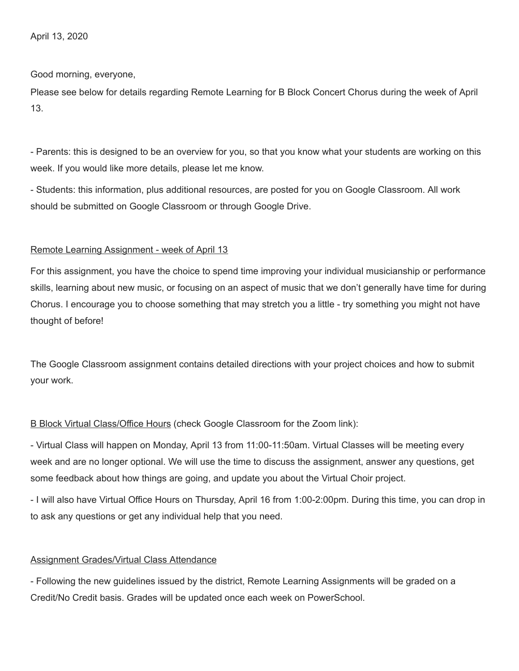Good morning, everyone,

Please see below for details regarding Remote Learning for B Block Concert Chorus during the week of April 13.

- Parents: this is designed to be an overview for you, so that you know what your students are working on this week. If you would like more details, please let me know.

- Students: this information, plus additional resources, are posted for you on Google Classroom. All work should be submitted on Google Classroom or through Google Drive.

## Remote Learning Assignment - week of April 13

For this assignment, you have the choice to spend time improving your individual musicianship or performance skills, learning about new music, or focusing on an aspect of music that we don't generally have time for during Chorus. I encourage you to choose something that may stretch you a little - try something you might not have thought of before!

The Google Classroom assignment contains detailed directions with your project choices and how to submit your work.

## B Block Virtual Class/Office Hours (check Google Classroom for the Zoom link):

- Virtual Class will happen on Monday, April 13 from 11:00-11:50am. Virtual Classes will be meeting every week and are no longer optional. We will use the time to discuss the assignment, answer any questions, get some feedback about how things are going, and update you about the Virtual Choir project.

- I will also have Virtual Office Hours on Thursday, April 16 from 1:00-2:00pm. During this time, you can drop in to ask any questions or get any individual help that you need.

## Assignment Grades/Virtual Class Attendance

- Following the new guidelines issued by the district, Remote Learning Assignments will be graded on a Credit/No Credit basis. Grades will be updated once each week on PowerSchool.